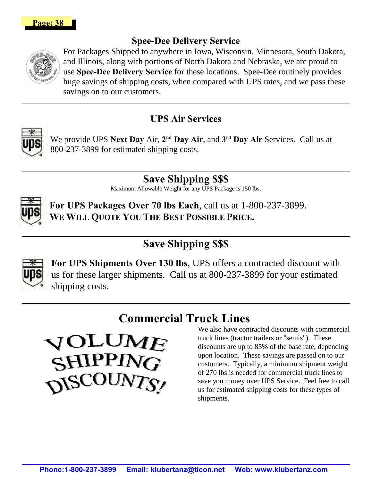### **Spee-Dee Delivery Service**



For Packages Shipped to anywhere in Iowa, Wisconsin, Minnesota, South Dakota, and Illinois, along with portions of North Dakota and Nebraska, we are proud to use **Spee-Dee Delivery Service** for these locations. Spee-Dee routinely provides huge savings of shipping costs, when compared with UPS rates, and we pass these savings on to our customers.

## **UPS Air Services**



We provide UPS Next Day Air, 2<sup>nd</sup> Day Air, and 3<sup>rd</sup> Day Air Services. Call us at 800-237-3899 for estimated shipping costs.

> **Save Shipping \$\$\$** Maximum Allowable Weight for any UPS Package is 150 lbs.



**For UPS Packages Over 70 lbs Each**, call us at 1-800-237-3899. **WE WILL QUOTE YOU THE BEST POSSIBLE PRICE.**

# **Save Shipping \$\$\$**



**For UPS Shipments Over 130 lbs**, UPS offers a contracted discount with us for these larger shipments. Call us at 800-237-3899 for your estimated shipping costs.

# **Commercial Truck Lines**



We also have contracted discounts with commercial truck lines (tractor trailers or "semis"). These discounts are up to 85% of the base rate, depending upon location. These savings are passed on to our customers. Typically, a minimum shipment weight of 270 lbs is needed for commercial truck lines to save you money over UPS Service. Feel free to call us for estimated shipping costs for these types of shipments.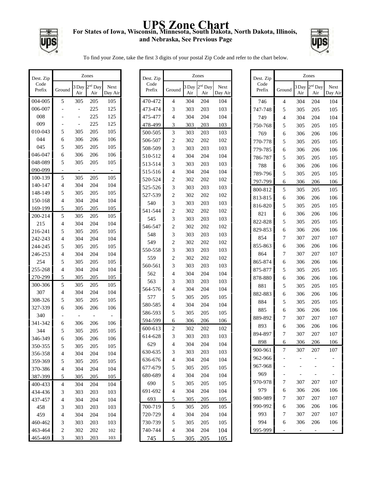## **UPS Zone Chart For States of Iowa, Wisconsin, Minnesota, South Dakota, North Dakota, Illinois, and Nebraska, See Previous Page**

Г



To find your Zone, take the first 3 digits of your postal Zip Code and refer to the chart below.

| Dest. Zip      | Zones                    |              |                  |                 |  |
|----------------|--------------------------|--------------|------------------|-----------------|--|
| Code<br>Prefix | Ground                   | 3 Day<br>Air | $2nd$ Day<br>Air | Next<br>Day Air |  |
| 004-005        | 5                        | 305          | 205              | 105             |  |
| 006-007        |                          |              | 225              | 125             |  |
| 008            |                          |              | 225              | 125             |  |
| 009            |                          |              | 225              | 125             |  |
| 010-043        | 5                        | 305          | 205              | 105             |  |
| 044            | 6                        | 306          | 206              | 106             |  |
| 045            | 5                        | 305          | 205              | 105             |  |
| 046-047        | 6                        | 306          | 206              | 106             |  |
| 048-089        | 5                        | 305          | 205              | 105             |  |
| 090-099        |                          |              |                  |                 |  |
| 100-139        | 5                        | 305          | 205              | 105             |  |
| 140-147        | $\overline{4}$           | 304          | 204              | 104             |  |
| 148-149        | 5                        | 305          | 205              | 105             |  |
| 150-168        | $\overline{4}$           | 304          | 204              | 104             |  |
| 169-199        | 5                        | 305          | 205              | 105             |  |
| 200-214        | 5                        | 305          | 205              | 105             |  |
| 215            | $\overline{4}$           | 304          | 204              | 104             |  |
| 216-241        | 5                        | 305          | 205              | 105             |  |
| 242-243        | $\overline{4}$           | 304          | 204              | 104             |  |
| 244-245        | 5                        | 305          | 205              | 105             |  |
| 246-253        | $\overline{4}$           | 304          | 204              | 104             |  |
| 254            | 5                        | 305          | 205              | 105             |  |
| 255-268        | $\overline{4}$           | 304          | 204              | 104             |  |
| 270-299        | 5                        | 305          | 205              | 105             |  |
| 300-306        | 5                        | 305          | 205              | 105             |  |
| 307            | $\overline{4}$           | 304          | 204              | 104             |  |
| 308-326        | 5                        | 305          | 205              | 105             |  |
| 327-339        | 6                        | 306          | 206              | 106             |  |
| 340            |                          |              |                  |                 |  |
| 341-342        | 6                        | 306          | 206              | 106             |  |
| 344            | 5                        | 305          | 205              | 105             |  |
| 346-349        | 6                        | 306          | 206              | 106             |  |
| 350-355        | 5                        | 305          | 205              | 105             |  |
| 356-358        | 4                        | 304          | 204              | 104             |  |
| 359-369        | 5                        | 305          | 205              | 105             |  |
| 370-386        | 4                        | 304          | 204              | 104             |  |
| 387-399        | 5                        | 305          | 205              | 105             |  |
| 400-433        | 4                        | 304          | 204              | 104             |  |
| 434-436        | 3                        | 303          | 203              | 103             |  |
| 437-457        | 4                        | 304          | 204              | 104             |  |
| 458            | 3                        | 303          | 203              | 103             |  |
| 459            | $\overline{\mathcal{L}}$ | 304          | 204              | 104             |  |
| 460-462        | 3                        | 303          | 203              | 103             |  |
| 463-464        | $\overline{c}$           | 302          | 202              | 102             |  |
| 465-469        | 3                        | 303          | 203              | 103             |  |

| Dest. Zip      | Zones          |              |                            |                 |  |
|----------------|----------------|--------------|----------------------------|-----------------|--|
| Code<br>Prefix | Ground         | 3 Day<br>Air | 2 <sup>nd</sup> Day<br>Air | Next<br>Day Air |  |
| 470-472        | 4              | 304          | 204                        | 104             |  |
| 473-474        | 3              | 303          | 203                        | 103             |  |
| 475-477        | 4              | 304          | 204                        | 104             |  |
| 478-499        | 3              | 303          | 203                        | 103             |  |
| 500-505        | 3              | 303          | 203                        | 103             |  |
| 506-507        | $\overline{c}$ | 302          | 202                        | 102             |  |
| 508-509        | 3              | 303          | 203                        | 103             |  |
| 510-512        | 4              | 304          | 204                        | 104             |  |
| 513-514        | 3              | 303          | 203                        | 103             |  |
| 515-516        | 4              | 304          | 204                        | 104             |  |
| 520-524        | 2              | 302          | 202                        | 102             |  |
| 525-526        | 3              | 303          | 203                        | 103             |  |
| 527-539        | $\overline{c}$ | 302          | 202                        | 102             |  |
| 540            | 3              | 303          | 203                        | 103             |  |
| 541-544        | $\overline{2}$ | 302          | 202                        | 102             |  |
| 545            | 3              | 303          | 203                        | 103             |  |
| 546-547        | $\overline{c}$ | 302          | 202                        | 102             |  |
| 548            | 3              | 303          | 203                        | 103             |  |
| 549            | $\overline{2}$ | 302          | 202                        | 102             |  |
| 550-558        | 3              | 303          | 203                        | 103             |  |
| 559            | $\overline{2}$ | 302          | 202                        | 102             |  |
| 560-561        | 3              | 303          | 203                        | 103             |  |
| 562            | 4              | 304          | 204                        | 104             |  |
| 563            | 3              | 303          | 203                        | 103             |  |
| 564-576        | 4              | 304          | 204                        | 104             |  |
| 577            | 5              | 305          | 205                        | 105             |  |
| 580-585        | 4              | 304          | 204                        | 104             |  |
| 586-593        | 5              | 305          | 205                        | 105             |  |
| 594-599        | 6              | 306          | 206                        | 106             |  |
| 600-613        | 2              | 302          | 202                        | 102             |  |
| 614-628        | 3              | 303          | 203                        | 103             |  |
| 629            | 4              | 304          | 204                        | 104             |  |
| 630-635        | 3              | 303          | 203                        | 103             |  |
| 636-676        | 4              | 304          | 204                        | 104             |  |
| 677-679        | 5              | 305          | 205                        | 105             |  |
| 680-689        | $\overline{4}$ | 304          | 204                        | 104             |  |
| 690            | 5              | 305          | 205                        | 105             |  |
| 691-692        | $\overline{4}$ | 304          | 204                        | 104             |  |
| 693            | 5              | 305          | 205                        | 105             |  |
| 700-719        | 5              | 305          | 205                        | 105             |  |
| 720-729        | $\overline{4}$ | 304          | 204                        | 104             |  |
| 730-739        | 5              | 305          | 205                        | 105             |  |
| 740-744        | 4              | 304          | 204                        | 104             |  |
| 745            | 5              | 305          | 205                        | 105             |  |

| Dest. Zip      | Zones          |              |                  |                 |  |  |
|----------------|----------------|--------------|------------------|-----------------|--|--|
| Code<br>Prefix | Ground         | 3 Day<br>Air | $2nd$ Day<br>Air | Next<br>Day Air |  |  |
| 746            | 4              | 304          | 204              | 104             |  |  |
| 747-748        | 5              | 305          | 205              | 105             |  |  |
| 749            | $\overline{4}$ | 304          | 204              | 104             |  |  |
| 750-768        | 5              | 305          | 205              | 105             |  |  |
| 769            | 6              | 306          | 206              | 106             |  |  |
| 770-778        | 5              | 305          | 205              | 105             |  |  |
| 779-785        | 6              | 306          | 206              | 106             |  |  |
| 786-787        | 5              | 305          | 205              | 105             |  |  |
| 788            | 6              | 306          | 206              | 106             |  |  |
| 789-796        | 5              | 305          | 205              | 105             |  |  |
| 797-799        | 6              | 306          | 206              | 106             |  |  |
| 800-812        | 5              | 305          | 205              | 105             |  |  |
| 813-815        | 6              | 306          | 206              | 106             |  |  |
| 816-820        | 5              | 305          | 205              | 105             |  |  |
| 821            | 6              | 306          | 206              | 106             |  |  |
| 822-828        | 5              | 305          | 205              | 105             |  |  |
| 829-853        | 6              | 306          | 206              | 106             |  |  |
| 854            | 7              | 307          | 207              | 107             |  |  |
| 855-863        | 6              | 306          | 206              | 106             |  |  |
| 864            | 7              | 307          | 207              | 107             |  |  |
| 865-874        | 6              | 306          | 206              | 106             |  |  |
| 875-877        | 5              | 305          | 205              | 105             |  |  |
| 878-880        | 6              | 306          | 206              | 106             |  |  |
| 881            | 5              | 305          | 205              | 105             |  |  |
| 882-883        | 6              | 306          | 206              | 106             |  |  |
| 884            | 5              | 305          | 205              | 105             |  |  |
| 885            | 6              | 306          | 206              | 106             |  |  |
| 889-892        | 7              | 307          | 207              | 107             |  |  |
| 893            | 6              | 306          | 206              | 106             |  |  |
| 894-897        | 7              | 307          | 207              | 107             |  |  |
| 898            | 6              | 306          | 206              | 106             |  |  |
| 900-961        | 7              | 307          | 207              | 107             |  |  |
| 962-966        |                |              |                  |                 |  |  |
| 967-968        |                |              |                  |                 |  |  |
| 969            |                |              |                  |                 |  |  |
| 970-978        | 7              | 307          | 207              | 107             |  |  |
| 979            | 6              | 306          | 206              | 106             |  |  |
| 980-989        | 7              | 307          | 207              | 107             |  |  |
| 990-992        | 6              | 306          | 206              | 106             |  |  |
| 993            | 7              | 307          | 207              | 107             |  |  |
| 994            | 6              | 306          | 206              | 106             |  |  |
| 995-999        |                |              |                  |                 |  |  |